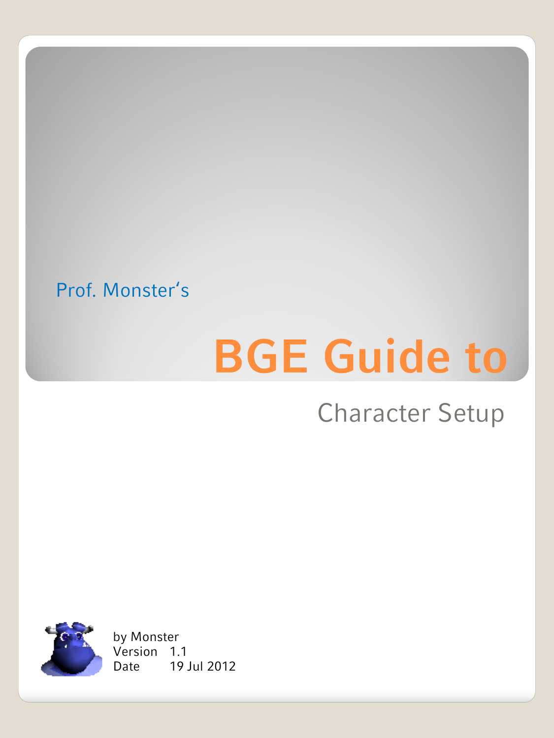#### Prof. Monster's

# **BGE Guide to**

#### Character Setup



Version 1.1 by Monster Date 19 Jul 2012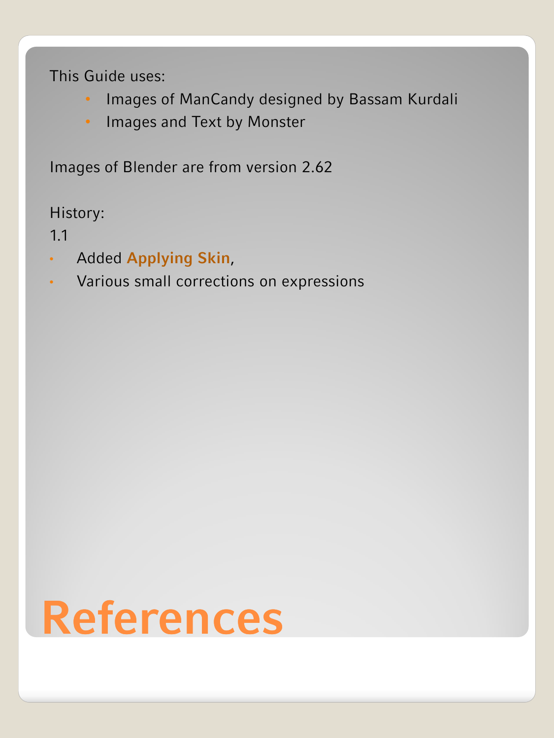This Guide uses:

- Images of ManCandy designed by Bassam Kurdali
- Images and Text by Monster

Images of Blender are from version 2.62

History:

1.1

- Added **Applying Skin**,
- Various small corrections on expressions

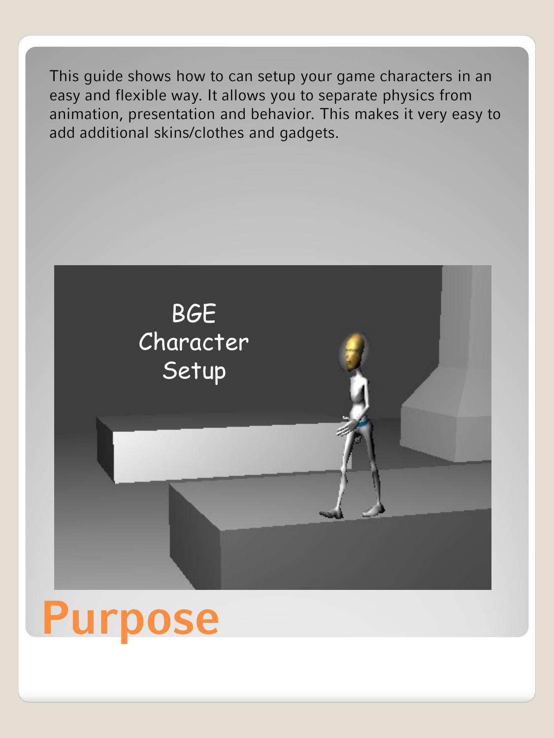This guide shows how to can setup your game characters in an easy and flexible way. It allows you to separate physics from animation, presentation and behavior. This makes it very easy to add additional skins/clothes and gadgets.



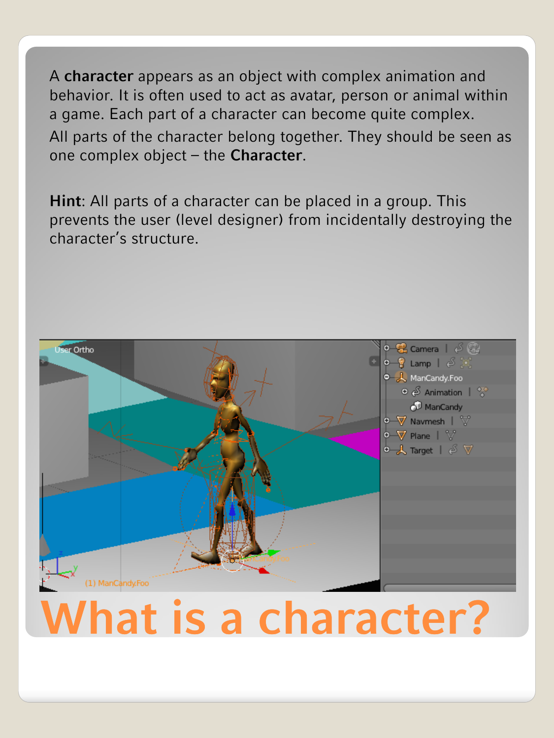A **character** appears as an object with complex animation and behavior. It is often used to act as avatar, person or animal within a game. Each part of a character can become quite complex. All parts of the character belong together. They should be seen as one complex object – the **Character**.

**Hint**: All parts of a character can be placed in a group. This prevents the user (level designer) from incidentally destroying the character's structure.

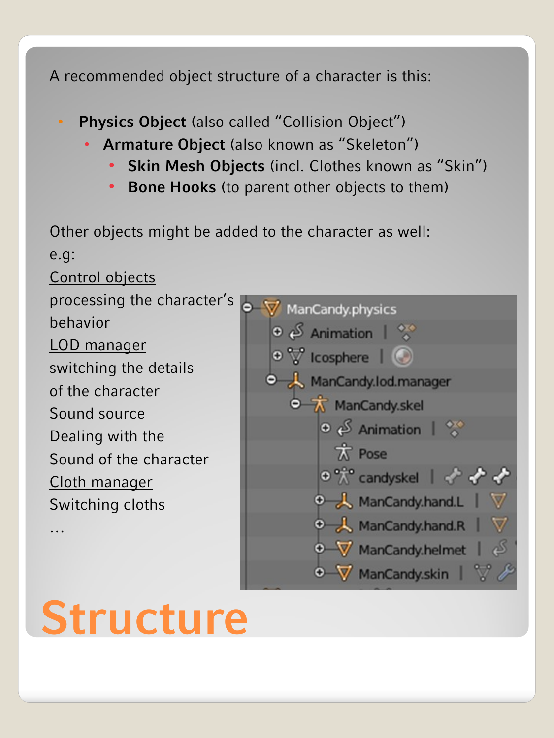A recommended object structure of a character is this:

- **Physics Object** (also called "Collision Object")
	- **Armature Object** (also known as 'Skeleton')
		- **Skin Mesh Objects** (incl. Clothes known as "Skin")
		- **Bone Hooks** (to parent other objects to them)

Other objects might be added to the character as well: e.g: Control objects processing the character's O V ManCandy.physics behavior  $\odot$   $\beta$  Animation |  $\frac{80}{4}$ LOD manager  $\bullet$   $\nabla$  icosphere |  $\bullet$ switching the details ManCandy.lod.manager of the character  $\oint_{\mathbf{R}}$  ManCandv.skel Sound source  $\odot$   $\beta$  Animation |  $\odot$ Dealing with the **K** Pose Sound of the character o " candyskel | ↓ ↓ ↓ Cloth manager ManCandy.hand.L Switching cloths ManCandy.hand.R …

> O V ManCandy.helmet O V ManCandy.skin V

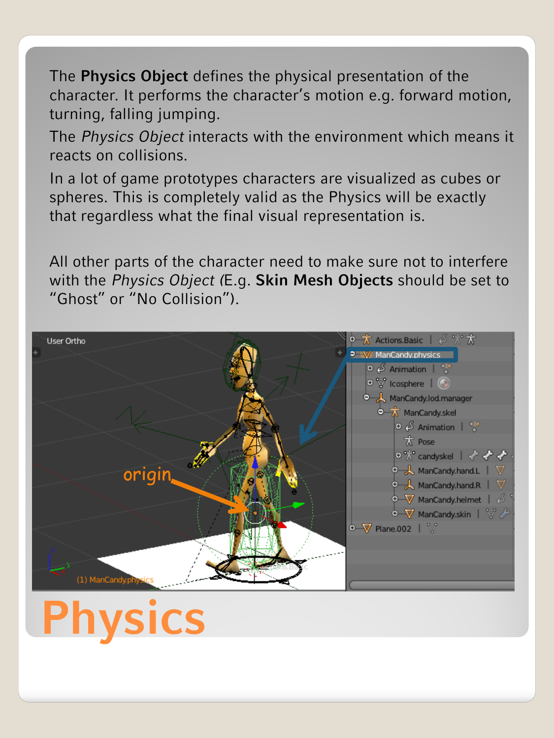The **Physics Object** defines the physical presentation of the character. It performs the character's motion e.g. forward motion, turning, falling jumping.

The *Physics Object* interacts with the environment which means it reacts on collisions.

In a lot of game prototypes characters are visualized as cubes or spheres. This is completely valid as the Physics will be exactly that regardless what the final visual representation is.

All other parts of the character need to make sure not to interfere with the *Physics Object (*E.g. **Skin Mesh Objects** should be set to 'Ghost' or 'No Collision').

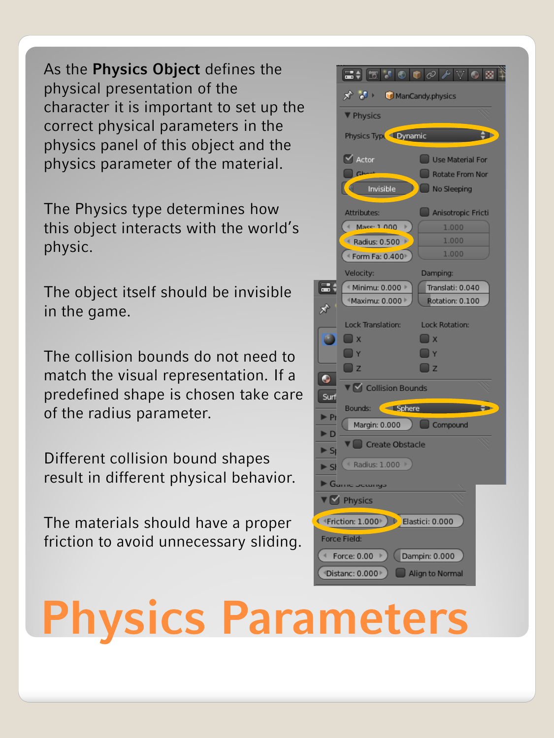As the **Physics Object** defines the physical presentation of the character it is important to set up the correct physical parameters in the physics panel of this object and the physics parameter of the material.

The Physics type determines how this object interacts with the world's physic.

The object itself should be invisible in the game.

The collision bounds do not need to match the visual representation. If a predefined shape is chosen take care of the radius parameter.

Different collision bound shapes result in different physical behavior.

The materials should have a proper friction to avoid unnecessary sliding.



## **Physics Parameters**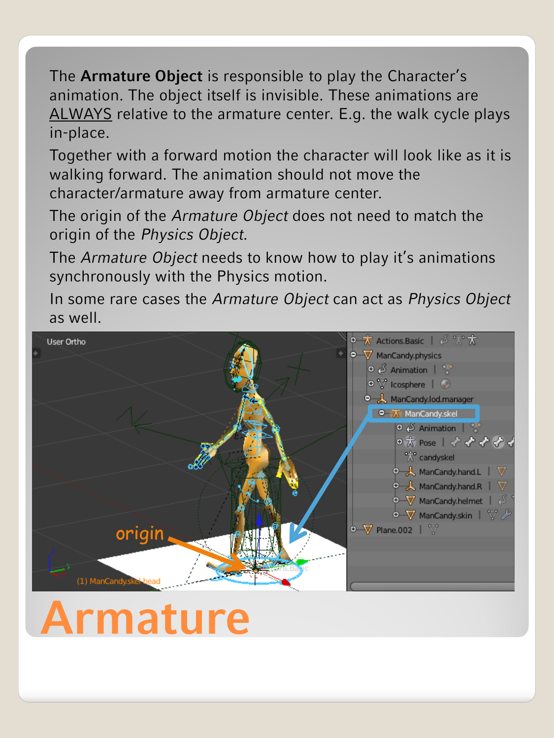The **Armature Object** is responsible to play the Character's animation. The object itself is invisible. These animations are ALWAYS relative to the armature center. E.g. the walk cycle plays in-place.

Together with a forward motion the character will look like as it is walking forward. The animation should not move the character/armature away from armature center.

The origin of the *Armature Object* does not need to match the origin of the *Physics Object*.

The *Armature Object* needs to know how to play it's animations synchronously with the Physics motion.

In some rare cases the *Armature Object* can act as *Physics Object*  as well.



### **Armature**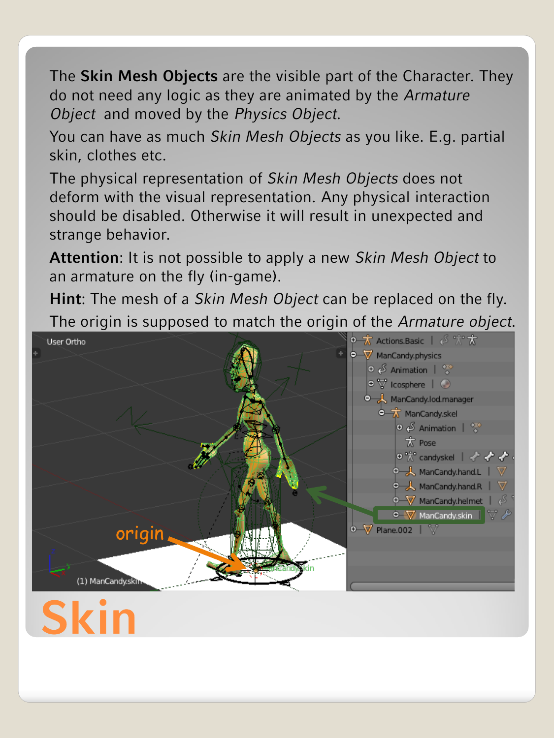The **Skin Mesh Objects** are the visible part of the Character. They do not need any logic as they are animated by the *Armature Object* and moved by the *Physics Object*.

You can have as much *Skin Mesh Objects* as you like. E.g. partial skin, clothes etc.

The physical representation of *Skin Mesh Objects* does not deform with the visual representation. Any physical interaction should be disabled. Otherwise it will result in unexpected and strange behavior.

**Attention**: It is not possible to apply a new *Skin Mesh Object* to an armature on the fly (in-game).

**Hint**: The mesh of a *Skin Mesh Object* can be replaced on the fly. The origin is supposed to match the origin of the *Armature object*.

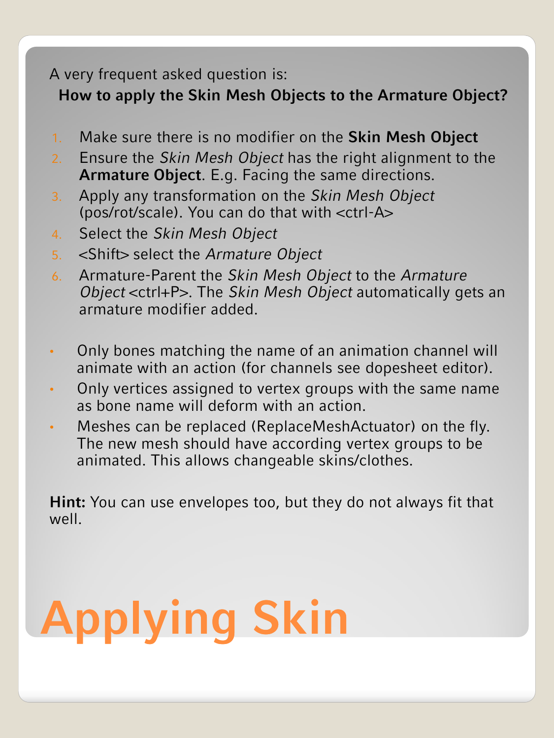#### A very frequent asked question is:

**How to apply the Skin Mesh Objects to the Armature Object?** 

- 1. Make sure there is no modifier on the **Skin Mesh Object**
- 2. Ensure the *Skin Mesh Object* has the right alignment to the **Armature Object**. E.g. Facing the same directions.
- 3. Apply any transformation on the *Skin Mesh Object*  (pos/rot/scale). You can do that with <ctrl-A>
- 4. Select the *Skin Mesh Object*
- 5. <Shift> select the *Armature Object*
- 6. Armature-Parent the *Skin Mesh Object* to the *Armature Object* <ctrl+P>. The *Skin Mesh Object* automatically gets an armature modifier added.
- Only bones matching the name of an animation channel will animate with an action (for channels see dopesheet editor).
- Only vertices assigned to vertex groups with the same name as bone name will deform with an action.
- Meshes can be replaced (ReplaceMeshActuator) on the fly. The new mesh should have according vertex groups to be animated. This allows changeable skins/clothes.

**Hint:** You can use envelopes too, but they do not always fit that well.

# **Applying Skin**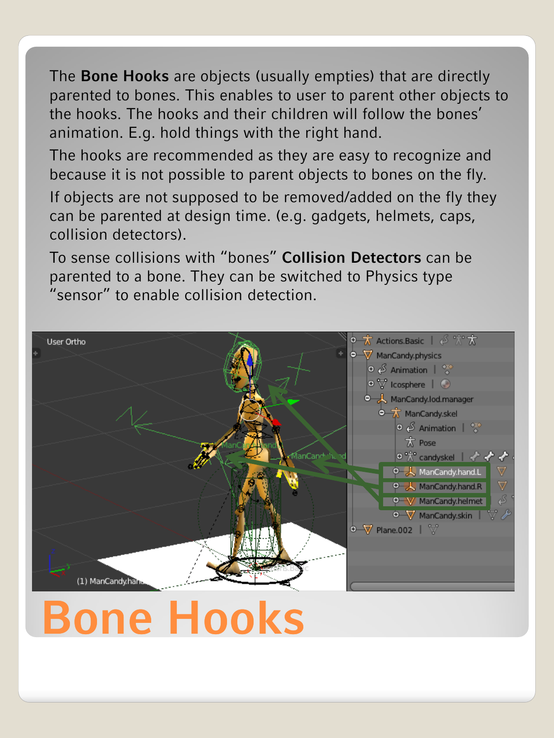The **Bone Hooks** are objects (usually empties) that are directly parented to bones. This enables to user to parent other objects to the hooks. The hooks and their children will follow the bones' animation. E.g. hold things with the right hand.

The hooks are recommended as they are easy to recognize and because it is not possible to parent objects to bones on the fly. If objects are not supposed to be removed/added on the fly they

can be parented at design time. (e.g. gadgets, helmets, caps, collision detectors).

To sense collisions with 'bones' **Collision Detectors** can be parented to a bone. They can be switched to Physics type 'sensor' to enable collision detection.



## **Bone Hooks**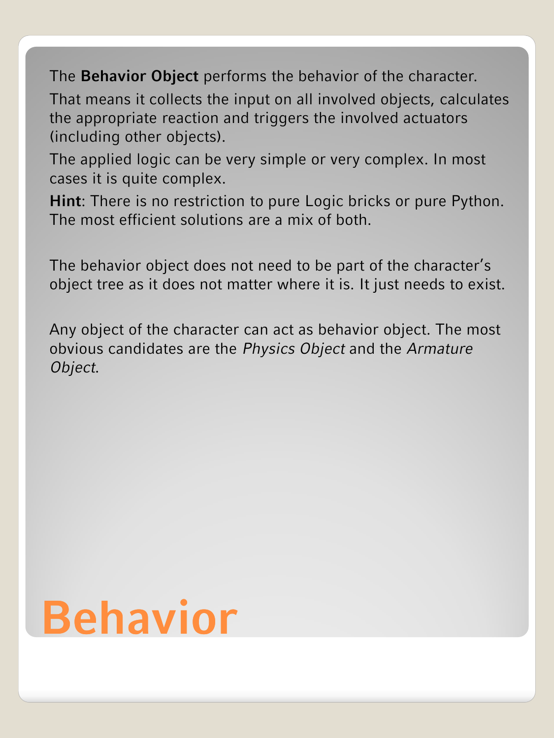The **Behavior Object** performs the behavior of the character.

That means it collects the input on all involved objects, calculates the appropriate reaction and triggers the involved actuators (including other objects).

The applied logic can be very simple or very complex. In most cases it is quite complex.

**Hint**: There is no restriction to pure Logic bricks or pure Python. The most efficient solutions are a mix of both.

The behavior object does not need to be part of the character's object tree as it does not matter where it is. It just needs to exist.

Any object of the character can act as behavior object. The most obvious candidates are the *Physics Object* and the *Armature Object*.

## **Behavior**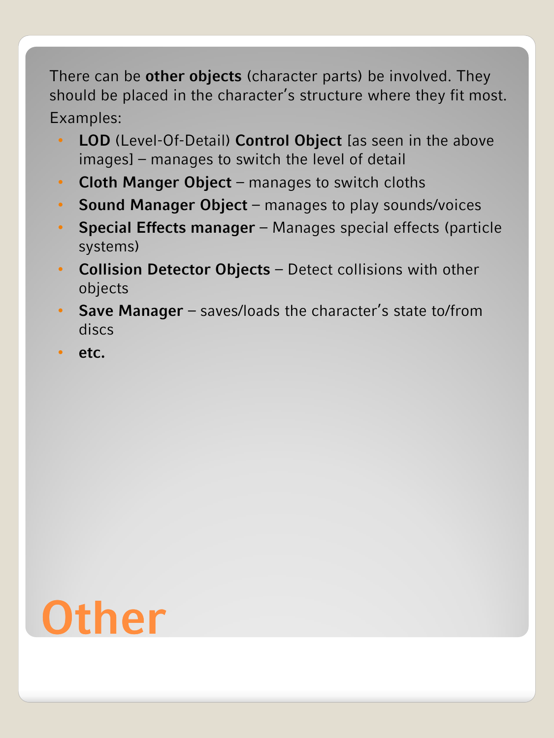There can be **other objects** (character parts) be involved. They should be placed in the character's structure where they fit most. Examples:

- **LOD** (Level-Of-Detail) **Control Object** [as seen in the above images] – manages to switch the level of detail
- **Cloth Manger Object** manages to switch cloths
- **Sound Manager Object** manages to play sounds/voices
- **Special Effects manager** Manages special effects (particle systems)
- **Collision Detector Objects**  Detect collisions with other objects
- **Save Manager** saves/loads the character's state to/from discs
- **etc.**